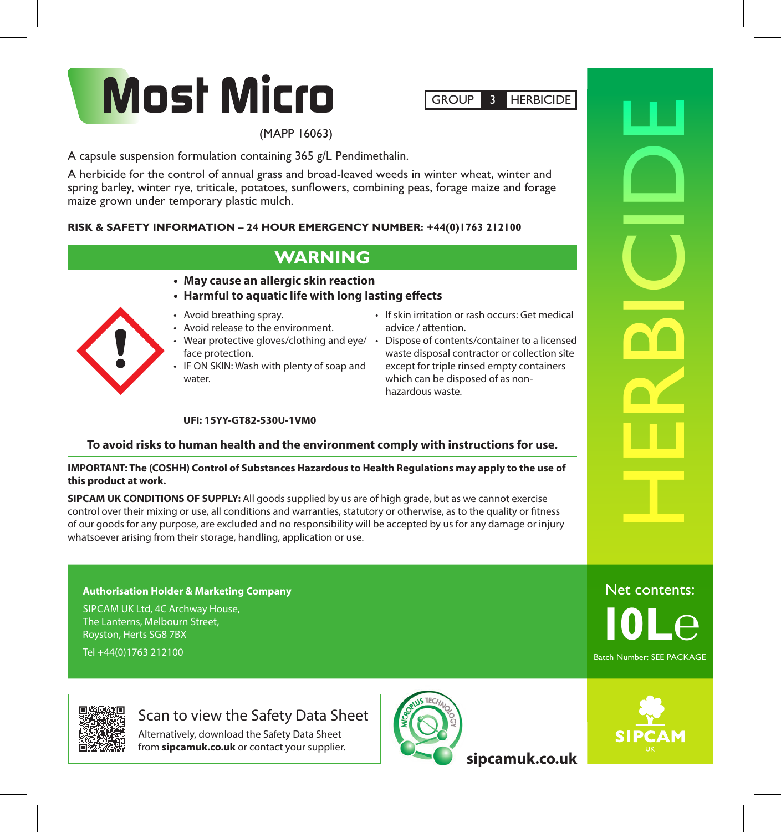



(MAPP 16063)

A capsule suspension formulation containing 365 g/L Pendimethalin.

A herbicide for the control of annual grass and broad-leaved weeds in winter wheat, winter and spring barley, winter rye, triticale, potatoes, sunflowers, combining peas, forage maize and forage maize grown under temporary plastic mulch.

### **RISK & SAFETY INFORMATION – 24 HOUR EMERGENCY NUMBER: +44(0)1763 212100**

# **WARNING**

- **• May cause an allergic skin reaction**
- **• Harmful to aquatic life with long lasting effects**
- Avoid breathing spray.
- Avoid release to the environment.
- face protection.
- IF ON SKIN: Wash with plenty of soap and water.
- If skin irritation or rash occurs: Get medical advice / attention.
- Wear protective gloves/clothing and eye/ Dispose of contents/container to a licensed waste disposal contractor or collection site except for triple rinsed empty containers which can be disposed of as nonhazardous waste.

### **UFI: 15YY-GT82-530U-1VM0**

**To avoid risks to human health and the environment comply with instructions for use.**

**IMPORTANT: The (COSHH) Control of Substances Hazardous to Health Regulations may apply to the use of this product at work.** 

**SIPCAM UK CONDITIONS OF SUPPLY:** All goods supplied by us are of high grade, but as we cannot exercise control over their mixing or use, all conditions and warranties, statutory or otherwise, as to the quality or fitness of our goods for any purpose, are excluded and no responsibility will be accepted by us for any damage or injury whatsoever arising from their storage, handling, application or use.

### **Authorisation Holder & Marketing Company**

SIPCAM UK Ltd, 4C Archway House, The Lanterns, Melbourn Street, Royston, Herts SG8 7BX

Tel +44(0)1763 212100

### Scan to view the Safety Data Sheet

Alternatively, download the Safety Data Sheet from **sipcamuk.co.uk** or contact your supplier.



**sipcamuk.co.uk**



**10L℮**

Batch Number: SEE PACKAGE

Net contents:

HERBICIDE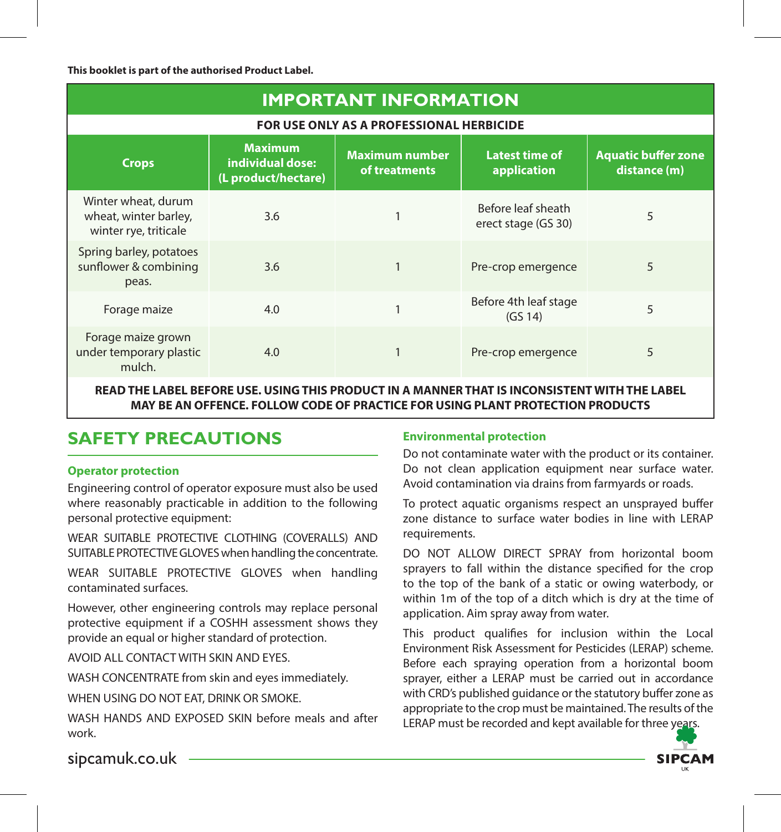#### **This booklet is part of the authorised Product Label.**

| <b>IMPORTANT INFORMATION</b>                                          |                                                           |                                        |                                           |                                            |
|-----------------------------------------------------------------------|-----------------------------------------------------------|----------------------------------------|-------------------------------------------|--------------------------------------------|
| <b>FOR USE ONLY AS A PROFESSIONAL HERBICIDE</b>                       |                                                           |                                        |                                           |                                            |
| <b>Crops</b>                                                          | <b>Maximum</b><br>individual dose:<br>(L product/hectare) | <b>Maximum number</b><br>of treatments | <b>Latest time of</b><br>application      | <b>Aquatic buffer zone</b><br>distance (m) |
| Winter wheat, durum<br>wheat, winter barley,<br>winter rye, triticale | 3.6                                                       |                                        | Before leaf sheath<br>erect stage (GS 30) | 5                                          |
| Spring barley, potatoes<br>sunflower & combining<br>peas.             | 3.6                                                       |                                        | Pre-crop emergence                        | 5                                          |
| Forage maize                                                          | 4.0                                                       |                                        | Before 4th leaf stage<br>(GS 14)          | 5                                          |
| Forage maize grown<br>under temporary plastic<br>mulch.               | 4.0                                                       |                                        | Pre-crop emergence                        | 5                                          |
| <b>DEAD THEI ADEL DEEQ</b>                                            |                                                           |                                        |                                           |                                            |

**READ THE LABEL BEFORE USE. USING THIS PRODUCT IN A MANNER THAT IS INCONSISTENT WITH THE LABEL MAY BE AN OFFENCE. FOLLOW CODE OF PRACTICE FOR USING PLANT PROTECTION PRODUCTS**

### **SAFETY PRECAUTIONS**

### **Operator protection**

Engineering control of operator exposure must also be used where reasonably practicable in addition to the following personal protective equipment:

WEAR SUITABLE PROTECTIVE CLOTHING (COVERALLS) AND SUITABLE PROTECTIVE GLOVES when handling the concentrate.

WEAR SUITABLE PROTECTIVE GLOVES when handling contaminated surfaces.

However, other engineering controls may replace personal protective equipment if a COSHH assessment shows they provide an equal or higher standard of protection.

AVOID ALL CONTACT WITH SKIN AND EYES.

WASH CONCENTRATE from skin and eyes immediately.

WHEN USING DO NOT EAT, DRINK OR SMOKE.

WASH HANDS AND EXPOSED SKIN before meals and after work.

### **Environmental protection**

Do not contaminate water with the product or its container. Do not clean application equipment near surface water. Avoid contamination via drains from farmyards or roads.

To protect aquatic organisms respect an unsprayed buffer zone distance to surface water bodies in line with LERAP requirements.

DO NOT ALLOW DIRECT SPRAY from horizontal boom sprayers to fall within the distance specified for the crop to the top of the bank of a static or owing waterbody, or within 1m of the top of a ditch which is dry at the time of application. Aim spray away from water.

This product qualifies for inclusion within the Local Environment Risk Assessment for Pesticides (LERAP) scheme. Before each spraying operation from a horizontal boom sprayer, either a LERAP must be carried out in accordance with CRD's published quidance or the statutory buffer zone as appropriate to the crop must be maintained. The results of the LERAP must be recorded and kept available for three years.



sipcamuk.co.uk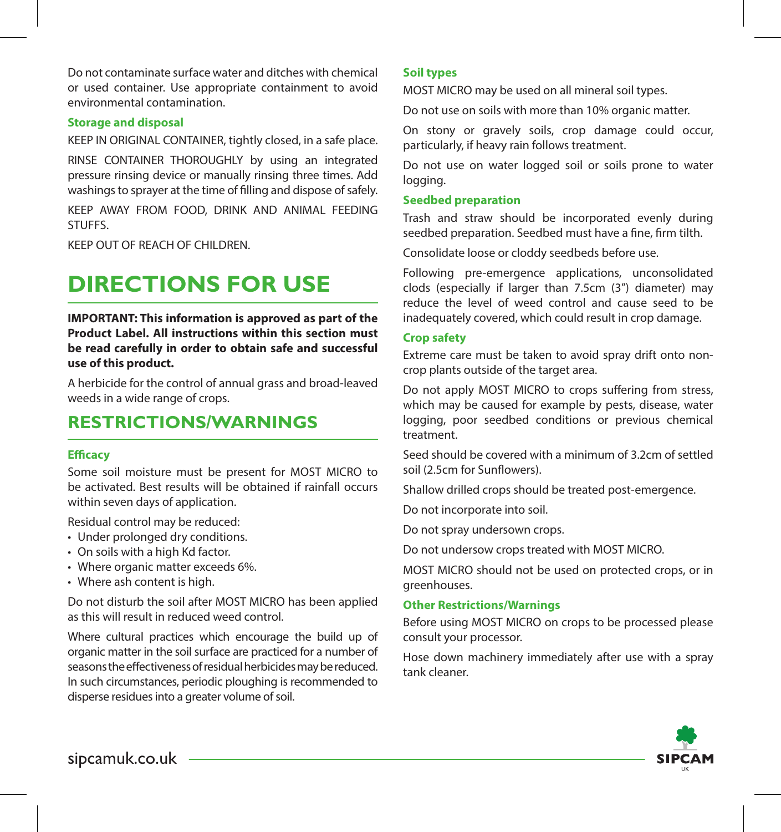Do not contaminate surface water and ditches with chemical or used container. Use appropriate containment to avoid environmental contamination.

### **Storage and disposal**

KEEP IN ORIGINAL CONTAINER, tightly closed, in a safe place.

RINSE CONTAINER THOROUGHLY by using an integrated pressure rinsing device or manually rinsing three times. Add washings to sprayer at the time of filling and dispose of safely.

KEEP AWAY FROM FOOD, DRINK AND ANIMAL FEEDING STUFFS.

KEEP OUT OF REACH OF CHILDREN.

# **DIRECTIONS FOR USE**

**IMPORTANT: This information is approved as part of the Product Label. All instructions within this section must be read carefully in order to obtain safe and successful use of this product.**

A herbicide for the control of annual grass and broad-leaved weeds in a wide range of crops.

### **RESTRICTIONS/WARNINGS**

### **Efficacy**

Some soil moisture must be present for MOST MICRO to be activated. Best results will be obtained if rainfall occurs within seven days of application.

Residual control may be reduced:

- Under prolonged dry conditions.
- On soils with a high Kd factor.
- Where organic matter exceeds 6%.
- Where ash content is high.

Do not disturb the soil after MOST MICRO has been applied as this will result in reduced weed control.

Where cultural practices which encourage the build up of organic matter in the soil surface are practiced for a number of seasons the effectiveness of residual herbicides may be reduced. In such circumstances, periodic ploughing is recommended to disperse residues into a greater volume of soil.

### **Soil types**

MOST MICRO may be used on all mineral soil types.

Do not use on soils with more than 10% organic matter.

On stony or gravely soils, crop damage could occur, particularly, if heavy rain follows treatment.

Do not use on water logged soil or soils prone to water logging.

### **Seedbed preparation**

Trash and straw should be incorporated evenly during seedbed preparation. Seedbed must have a fine, firm tilth.

Consolidate loose or cloddy seedbeds before use.

Following pre-emergence applications, unconsolidated clods (especially if larger than 7.5cm (3") diameter) may reduce the level of weed control and cause seed to be inadequately covered, which could result in crop damage.

#### **Crop safety**

Extreme care must be taken to avoid spray drift onto noncrop plants outside of the target area.

Do not apply MOST MICRO to crops suffering from stress, which may be caused for example by pests, disease, water logging, poor seedbed conditions or previous chemical treatment.

Seed should be covered with a minimum of 3.2cm of settled soil (2.5cm for Sunflowers).

Shallow drilled crops should be treated post-emergence.

Do not incorporate into soil.

Do not spray undersown crops.

Do not undersow crops treated with MOST MICRO.

MOST MICRO should not be used on protected crops, or in greenhouses.

### **Other Restrictions/Warnings**

Before using MOST MICRO on crops to be processed please consult your processor.

Hose down machinery immediately after use with a spray tank cleaner.

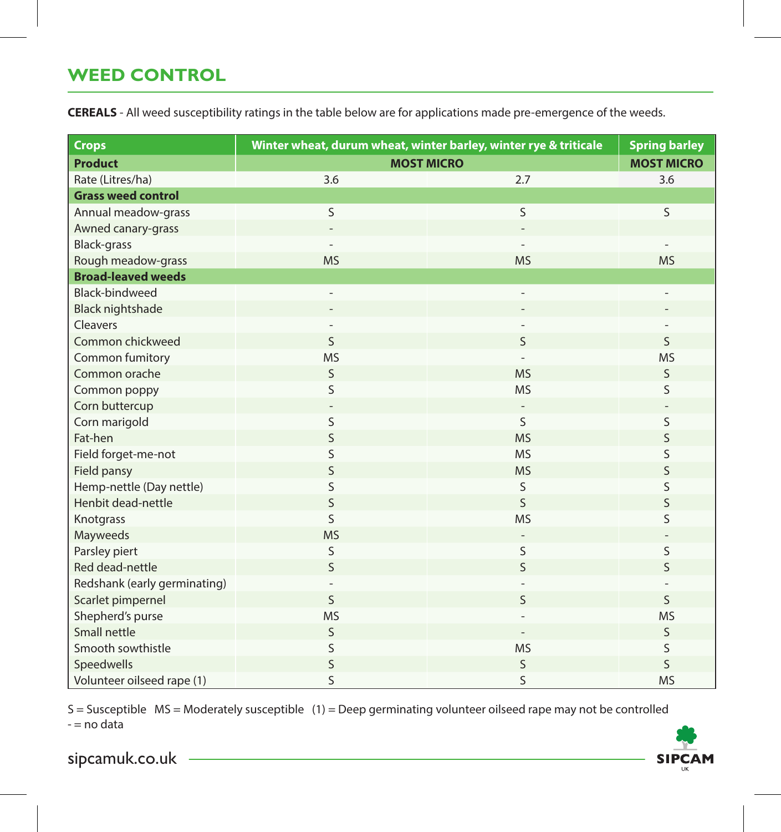# **WEED CONTROL**

| <b>Crops</b>                 | Winter wheat, durum wheat, winter barley, winter rye & triticale | <b>Spring barley</b> |                   |
|------------------------------|------------------------------------------------------------------|----------------------|-------------------|
| <b>Product</b>               | <b>MOST MICRO</b>                                                |                      | <b>MOST MICRO</b> |
| Rate (Litres/ha)             | 3.6                                                              | 2.7                  | 3.6               |
| <b>Grass weed control</b>    |                                                                  |                      |                   |
| Annual meadow-grass          | S                                                                | S                    | S                 |
| Awned canary-grass           |                                                                  |                      |                   |
| <b>Black-grass</b>           |                                                                  |                      |                   |
| Rough meadow-grass           | <b>MS</b>                                                        | <b>MS</b>            | <b>MS</b>         |
| <b>Broad-leaved weeds</b>    |                                                                  |                      |                   |
| Black-bindweed               | ÷,                                                               |                      |                   |
| <b>Black nightshade</b>      |                                                                  |                      |                   |
| Cleavers                     |                                                                  |                      |                   |
| Common chickweed             | S                                                                | S                    | S                 |
| Common fumitory              | <b>MS</b>                                                        |                      | <b>MS</b>         |
| Common orache                | S                                                                | <b>MS</b>            | S                 |
| Common poppy                 | S                                                                | <b>MS</b>            | S                 |
| Corn buttercup               |                                                                  |                      |                   |
| Corn marigold                | S                                                                | S                    | S                 |
| Fat-hen                      | S                                                                | <b>MS</b>            | S                 |
| Field forget-me-not          | S                                                                | <b>MS</b>            | S                 |
| Field pansy                  | S                                                                | <b>MS</b>            | S                 |
| Hemp-nettle (Day nettle)     | S                                                                | S                    | S                 |
| Henbit dead-nettle           | S                                                                | $\mathsf{S}$         | S                 |
| Knotgrass                    | S                                                                | <b>MS</b>            | S                 |
| Mayweeds                     | <b>MS</b>                                                        |                      |                   |
| Parsley piert                | S                                                                | S                    | S                 |
| Red dead-nettle              | S                                                                | S                    | S                 |
| Redshank (early germinating) |                                                                  |                      |                   |
| Scarlet pimpernel            | S                                                                | S                    | S                 |
| Shepherd's purse             | <b>MS</b>                                                        |                      | <b>MS</b>         |
| Small nettle                 | S                                                                |                      | S                 |
| Smooth sowthistle            | S                                                                | <b>MS</b>            | S                 |
| Speedwells                   | S                                                                | S                    | S                 |
| Volunteer oilseed rape (1)   | S                                                                | S                    | <b>MS</b>         |

**CEREALS** - All weed susceptibility ratings in the table below are for applications made pre-emergence of the weeds.

S = Susceptible MS = Moderately susceptible (1) = Deep germinating volunteer oilseed rape may not be controlled  $-$  = no data

sipcamuk.co.uk

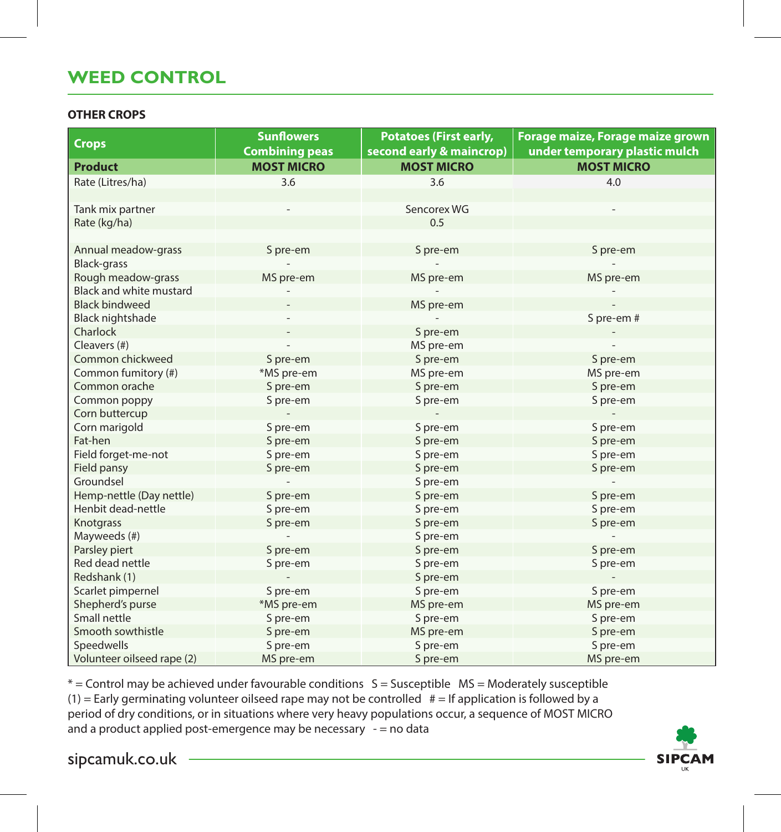# **WEED CONTROL**

### **OTHER CROPS**

| <b>Crops</b>               | <b>Sunflowers</b><br><b>Combining peas</b> | <b>Potatoes (First early,</b><br>second early & maincrop) | Forage maize, Forage maize grown<br>under temporary plastic mulch |
|----------------------------|--------------------------------------------|-----------------------------------------------------------|-------------------------------------------------------------------|
| <b>Product</b>             | <b>MOST MICRO</b>                          | <b>MOST MICRO</b>                                         | <b>MOST MICRO</b>                                                 |
| Rate (Litres/ha)           | 3.6                                        | 3.6                                                       | 4.0                                                               |
|                            |                                            |                                                           |                                                                   |
| Tank mix partner           |                                            | Sencorex WG                                               |                                                                   |
| Rate (kg/ha)               |                                            | 0.5                                                       |                                                                   |
|                            |                                            |                                                           |                                                                   |
| Annual meadow-grass        | S pre-em                                   | S pre-em                                                  | S pre-em                                                          |
| Black-grass                |                                            |                                                           |                                                                   |
| Rough meadow-grass         | MS pre-em                                  | MS pre-em                                                 | MS pre-em                                                         |
| Black and white mustard    |                                            |                                                           |                                                                   |
| <b>Black bindweed</b>      |                                            | MS pre-em                                                 |                                                                   |
| Black nightshade           |                                            |                                                           | S pre-em#                                                         |
| Charlock                   |                                            | S pre-em                                                  |                                                                   |
| Cleavers (#)               |                                            | MS pre-em                                                 |                                                                   |
| Common chickweed           | S pre-em                                   | S pre-em                                                  | S pre-em                                                          |
| Common fumitory (#)        | *MS pre-em                                 | MS pre-em                                                 | MS pre-em                                                         |
| Common orache              | S pre-em                                   | S pre-em                                                  | S pre-em                                                          |
| Common poppy               | S pre-em                                   | S pre-em                                                  | S pre-em                                                          |
| Corn buttercup             |                                            |                                                           |                                                                   |
| Corn marigold              | S pre-em                                   | S pre-em                                                  | S pre-em                                                          |
| Fat-hen                    | S pre-em                                   | S pre-em                                                  | S pre-em                                                          |
| Field forget-me-not        | S pre-em                                   | S pre-em                                                  | S pre-em                                                          |
| Field pansy                | S pre-em                                   | S pre-em                                                  | S pre-em                                                          |
| Groundsel                  |                                            | S pre-em                                                  |                                                                   |
| Hemp-nettle (Day nettle)   | S pre-em                                   | S pre-em                                                  | S pre-em                                                          |
| Henbit dead-nettle         | S pre-em                                   | S pre-em                                                  | S pre-em                                                          |
| Knotgrass                  | S pre-em                                   | S pre-em                                                  | S pre-em                                                          |
| Mayweeds (#)               |                                            | S pre-em                                                  |                                                                   |
| Parsley piert              | S pre-em                                   | S pre-em                                                  | S pre-em                                                          |
| Red dead nettle            | S pre-em                                   | S pre-em                                                  | S pre-em                                                          |
| Redshank (1)               |                                            | S pre-em                                                  |                                                                   |
| Scarlet pimpernel          | S pre-em                                   | S pre-em                                                  | S pre-em                                                          |
| Shepherd's purse           | *MS pre-em                                 | MS pre-em                                                 | MS pre-em                                                         |
| Small nettle               | S pre-em                                   | S pre-em                                                  | S pre-em                                                          |
| Smooth sowthistle          | S pre-em                                   | MS pre-em                                                 | S pre-em                                                          |
| Speedwells                 | S pre-em                                   | S pre-em                                                  | S pre-em                                                          |
| Volunteer oilseed rape (2) | MS pre-em                                  | S pre-em                                                  | MS pre-em                                                         |

\* = Control may be achieved under favourable conditions S = Susceptible MS = Moderately susceptible  $(1)$  = Early germinating volunteer oilseed rape may not be controlled  $#$  = If application is followed by a period of dry conditions, or in situations where very heavy populations occur, a sequence of MOST MICRO and a product applied post-emergence may be necessary - = no data



sipcamuk.co.uk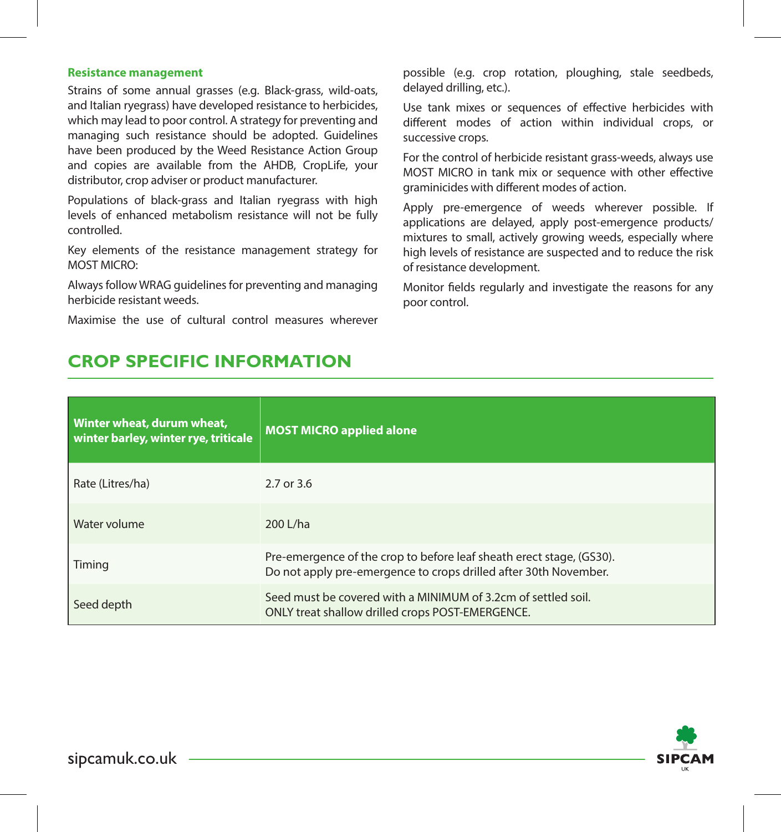### **Resistance management**

Strains of some annual grasses (e.g. Black-grass, wild-oats, and Italian ryegrass) have developed resistance to herbicides, which may lead to poor control. A strategy for preventing and managing such resistance should be adopted. Guidelines have been produced by the Weed Resistance Action Group and copies are available from the AHDB, CropLife, your distributor, crop adviser or product manufacturer.

Populations of black-grass and Italian ryegrass with high levels of enhanced metabolism resistance will not be fully controlled.

Key elements of the resistance management strategy for MOST MICRO:

Always follow WRAG guidelines for preventing and managing herbicide resistant weeds.

Maximise the use of cultural control measures wherever

possible (e.g. crop rotation, ploughing, stale seedbeds, delayed drilling, etc.).

Use tank mixes or sequences of effective herbicides with different modes of action within individual crops, or successive crops.

For the control of herbicide resistant grass-weeds, always use MOST MICRO in tank mix or sequence with other effective graminicides with different modes of action.

Apply pre-emergence of weeds wherever possible. If applications are delayed, apply post-emergence products/ mixtures to small, actively growing weeds, especially where high levels of resistance are suspected and to reduce the risk of resistance development.

Monitor fields regularly and investigate the reasons for any poor control.

# **Winter wheat, durum wheat, winter barley, winter rye, triticale MOST MICRO applied alone** Rate (Litres/ha) 2.7 or 3.6 Water volume 200 L/ha Timing Pre-emergence of the crop to before leaf sheath erect stage, (GS30). Do not apply pre-emergence to crops drilled after 30th November. Seed depth Seed must be covered with a MINIMUM of 3.2cm of settled soil. ONLY treat shallow drilled crops POST-EMERGENCE.

# **CROP SPECIFIC INFORMATION**

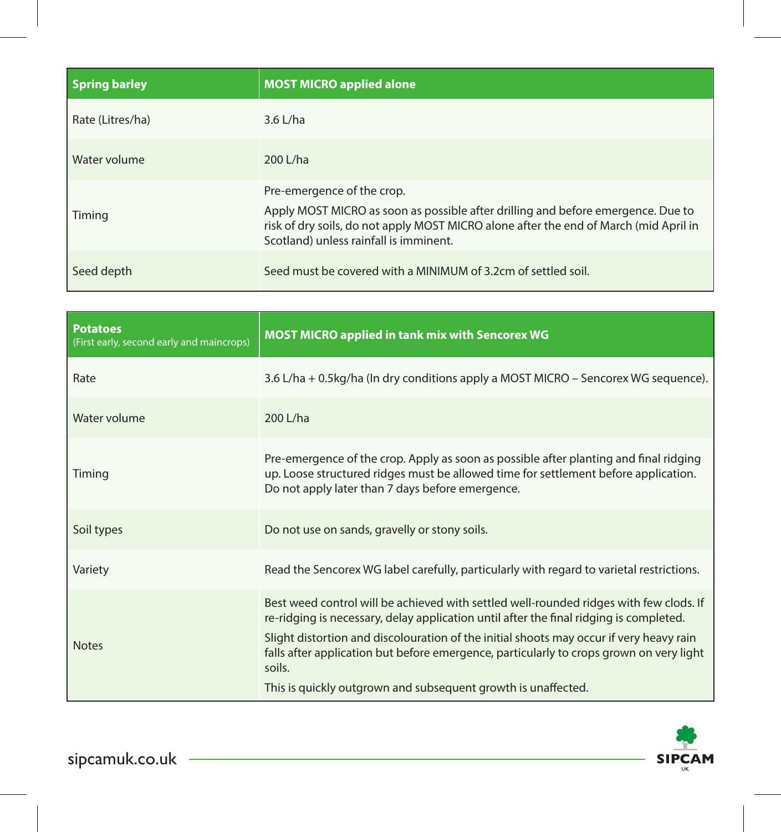| Spring barley    | <b>MOST MICRO applied alone</b>                                                                                                                                                                                                                   |
|------------------|---------------------------------------------------------------------------------------------------------------------------------------------------------------------------------------------------------------------------------------------------|
| Rate (Litres/ha) | $3.6$ L/ha                                                                                                                                                                                                                                        |
| Water volume     | 200 L/ha                                                                                                                                                                                                                                          |
| Timing           | Pre-emergence of the crop.<br>Apply MOST MICRO as soon as possible after drilling and before emergence. Due to<br>risk of dry soils, do not apply MOST MICRO alone after the end of March (mid April in<br>Scotland) unless rainfall is imminent. |
| Seed depth       | Seed must be covered with a MINIMUM of 3.2cm of settled soil.                                                                                                                                                                                     |

| <b>Potatoes</b><br>(First early, second early and maincrops) | <b>MOST MICRO applied in tank mix with Sencorex WG</b>                                                                                                                                                                                                                                                                                                                                                                                            |  |
|--------------------------------------------------------------|---------------------------------------------------------------------------------------------------------------------------------------------------------------------------------------------------------------------------------------------------------------------------------------------------------------------------------------------------------------------------------------------------------------------------------------------------|--|
| Rate                                                         | 3.6 L/ha + 0.5kg/ha (In dry conditions apply a MOST MICRO – Sencorex WG sequence).                                                                                                                                                                                                                                                                                                                                                                |  |
| Water volume                                                 | 200 L/ha                                                                                                                                                                                                                                                                                                                                                                                                                                          |  |
| Timing                                                       | Pre-emergence of the crop. Apply as soon as possible after planting and final ridging<br>up. Loose structured ridges must be allowed time for settlement before application.<br>Do not apply later than 7 days before emergence.                                                                                                                                                                                                                  |  |
| Soil types                                                   | Do not use on sands, gravelly or stony soils.                                                                                                                                                                                                                                                                                                                                                                                                     |  |
| Variety                                                      | Read the Sencorex WG label carefully, particularly with regard to varietal restrictions.                                                                                                                                                                                                                                                                                                                                                          |  |
| <b>Notes</b>                                                 | Best weed control will be achieved with settled well-rounded ridges with few clods. If<br>re-ridging is necessary, delay application until after the final ridging is completed.<br>Slight distortion and discolouration of the initial shoots may occur if very heavy rain<br>falls after application but before emergence, particularly to crops grown on very light<br>soils.<br>This is quickly outgrown and subsequent growth is unaffected. |  |

<u> 1989 - Johann Barbara, martxa alemaniar a</u>

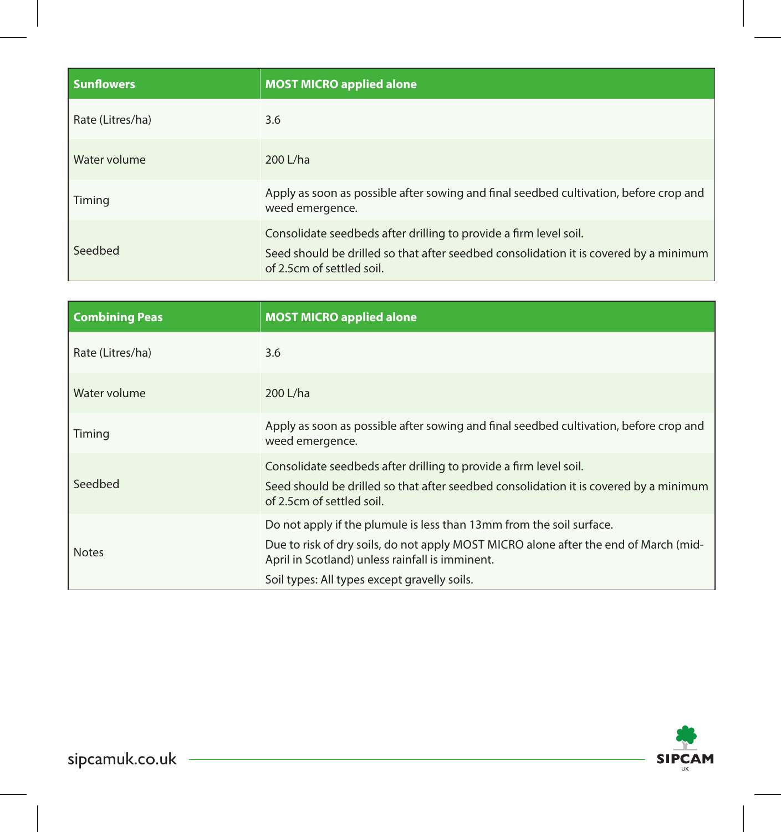| <b>Sunflowers</b> | <b>MOST MICRO applied alone</b>                                                                                                                                                         |  |
|-------------------|-----------------------------------------------------------------------------------------------------------------------------------------------------------------------------------------|--|
| Rate (Litres/ha)  | 3.6                                                                                                                                                                                     |  |
| Water volume      | 200 L/ha                                                                                                                                                                                |  |
| Timing            | Apply as soon as possible after sowing and final seedbed cultivation, before crop and<br>weed emergence.                                                                                |  |
| Seedbed           | Consolidate seedbeds after drilling to provide a firm level soil.<br>Seed should be drilled so that after seedbed consolidation it is covered by a minimum<br>of 2.5cm of settled soil. |  |

| <b>Combining Peas</b> | <b>MOST MICRO applied alone</b>                                                                                                                                                                                                                                 |  |
|-----------------------|-----------------------------------------------------------------------------------------------------------------------------------------------------------------------------------------------------------------------------------------------------------------|--|
| Rate (Litres/ha)      | 3.6                                                                                                                                                                                                                                                             |  |
| Water volume          | 200 L/ha                                                                                                                                                                                                                                                        |  |
| Timing                | Apply as soon as possible after sowing and final seedbed cultivation, before crop and<br>weed emergence.                                                                                                                                                        |  |
| Seedbed               | Consolidate seedbeds after drilling to provide a firm level soil.<br>Seed should be drilled so that after seedbed consolidation it is covered by a minimum<br>of 2.5cm of settled soil.                                                                         |  |
| <b>Notes</b>          | Do not apply if the plumule is less than 13mm from the soil surface.<br>Due to risk of dry soils, do not apply MOST MICRO alone after the end of March (mid-<br>April in Scotland) unless rainfall is imminent.<br>Soil types: All types except gravelly soils. |  |

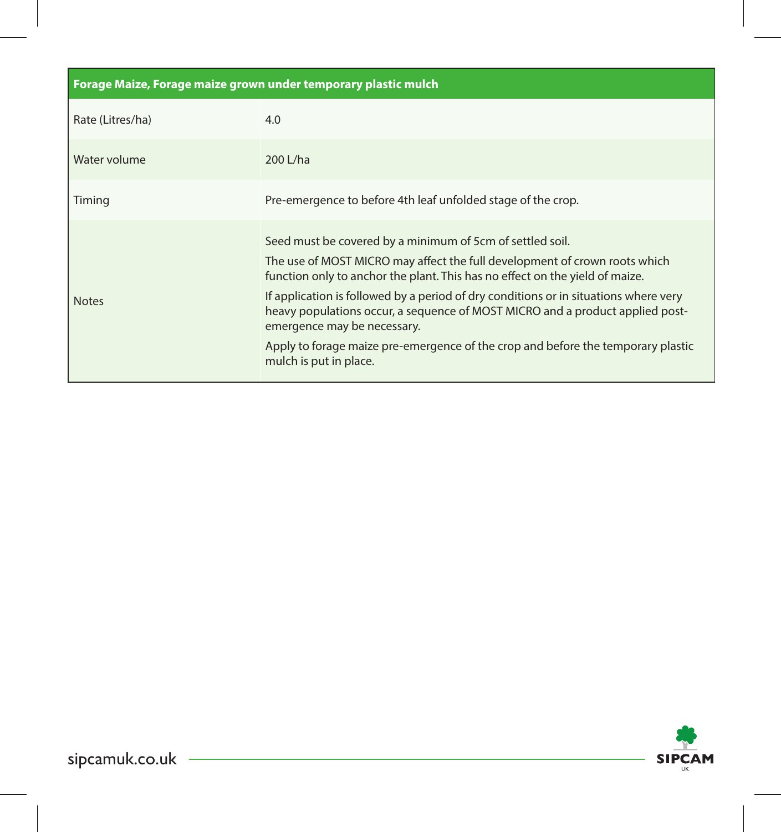| Forage Maize, Forage maize grown under temporary plastic mulch |                                                                                                                                                                                                                                                                                                                                                                                                                                                                                                                                               |  |
|----------------------------------------------------------------|-----------------------------------------------------------------------------------------------------------------------------------------------------------------------------------------------------------------------------------------------------------------------------------------------------------------------------------------------------------------------------------------------------------------------------------------------------------------------------------------------------------------------------------------------|--|
| Rate (Litres/ha)                                               | 4.0                                                                                                                                                                                                                                                                                                                                                                                                                                                                                                                                           |  |
| Water volume                                                   | 200 L/ha                                                                                                                                                                                                                                                                                                                                                                                                                                                                                                                                      |  |
| Timing                                                         | Pre-emergence to before 4th leaf unfolded stage of the crop.                                                                                                                                                                                                                                                                                                                                                                                                                                                                                  |  |
| <b>Notes</b>                                                   | Seed must be covered by a minimum of 5cm of settled soil.<br>The use of MOST MICRO may affect the full development of crown roots which<br>function only to anchor the plant. This has no effect on the yield of maize.<br>If application is followed by a period of dry conditions or in situations where very<br>heavy populations occur, a sequence of MOST MICRO and a product applied post-<br>emergence may be necessary.<br>Apply to forage maize pre-emergence of the crop and before the temporary plastic<br>mulch is put in place. |  |